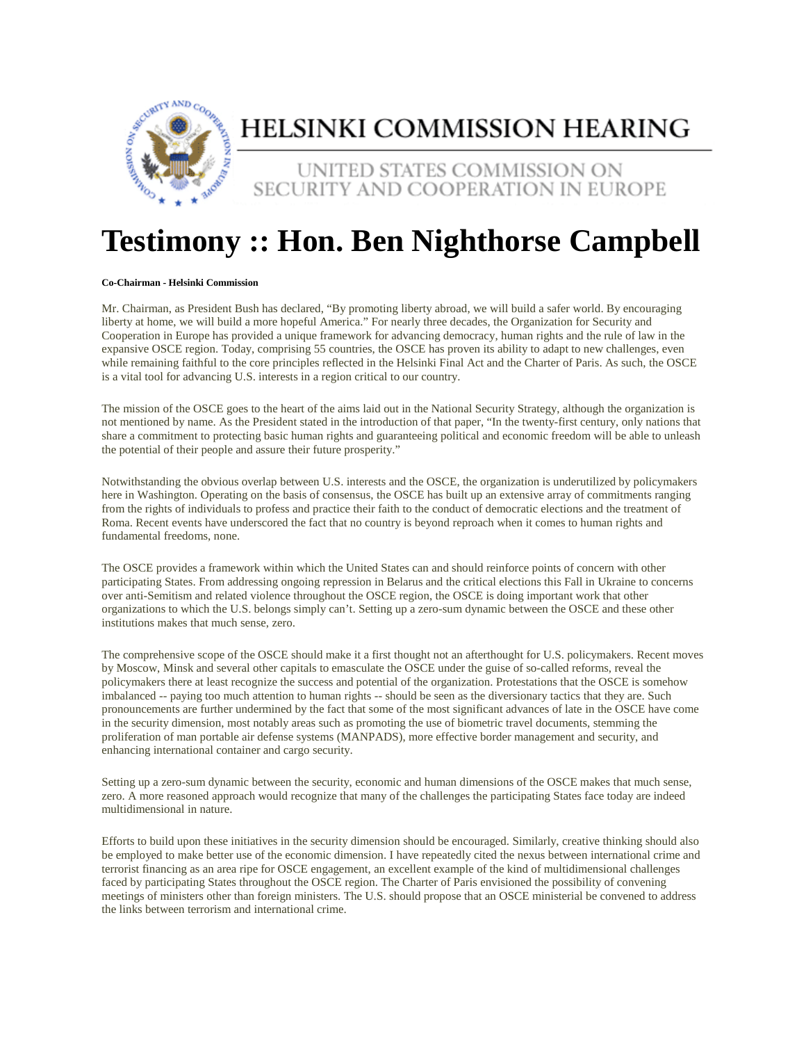

## HELSINKI COMMISSION HEARING

UNITED STATES COMMISSION ON SECURITY AND COOPERATION IN EUROPE

## **Testimony :: Hon. Ben Nighthorse Campbell**

## **Co-Chairman - Helsinki Commission**

Mr. Chairman, as President Bush has declared, "By promoting liberty abroad, we will build a safer world. By encouraging liberty at home, we will build a more hopeful America." For nearly three decades, the Organization for Security and Cooperation in Europe has provided a unique framework for advancing democracy, human rights and the rule of law in the expansive OSCE region. Today, comprising 55 countries, the OSCE has proven its ability to adapt to new challenges, even while remaining faithful to the core principles reflected in the Helsinki Final Act and the Charter of Paris. As such, the OSCE is a vital tool for advancing U.S. interests in a region critical to our country.

The mission of the OSCE goes to the heart of the aims laid out in the National Security Strategy, although the organization is not mentioned by name. As the President stated in the introduction of that paper, "In the twenty-first century, only nations that share a commitment to protecting basic human rights and guaranteeing political and economic freedom will be able to unleash the potential of their people and assure their future prosperity."

Notwithstanding the obvious overlap between U.S. interests and the OSCE, the organization is underutilized by policymakers here in Washington. Operating on the basis of consensus, the OSCE has built up an extensive array of commitments ranging from the rights of individuals to profess and practice their faith to the conduct of democratic elections and the treatment of Roma. Recent events have underscored the fact that no country is beyond reproach when it comes to human rights and fundamental freedoms, none.

The OSCE provides a framework within which the United States can and should reinforce points of concern with other participating States. From addressing ongoing repression in Belarus and the critical elections this Fall in Ukraine to concerns over anti-Semitism and related violence throughout the OSCE region, the OSCE is doing important work that other organizations to which the U.S. belongs simply can't. Setting up a zero-sum dynamic between the OSCE and these other institutions makes that much sense, zero.

The comprehensive scope of the OSCE should make it a first thought not an afterthought for U.S. policymakers. Recent moves by Moscow, Minsk and several other capitals to emasculate the OSCE under the guise of so-called reforms, reveal the policymakers there at least recognize the success and potential of the organization. Protestations that the OSCE is somehow imbalanced -- paying too much attention to human rights -- should be seen as the diversionary tactics that they are. Such pronouncements are further undermined by the fact that some of the most significant advances of late in the OSCE have come in the security dimension, most notably areas such as promoting the use of biometric travel documents, stemming the proliferation of man portable air defense systems (MANPADS), more effective border management and security, and enhancing international container and cargo security.

Setting up a zero-sum dynamic between the security, economic and human dimensions of the OSCE makes that much sense, zero. A more reasoned approach would recognize that many of the challenges the participating States face today are indeed multidimensional in nature.

Efforts to build upon these initiatives in the security dimension should be encouraged. Similarly, creative thinking should also be employed to make better use of the economic dimension. I have repeatedly cited the nexus between international crime and terrorist financing as an area ripe for OSCE engagement, an excellent example of the kind of multidimensional challenges faced by participating States throughout the OSCE region. The Charter of Paris envisioned the possibility of convening meetings of ministers other than foreign ministers. The U.S. should propose that an OSCE ministerial be convened to address the links between terrorism and international crime.